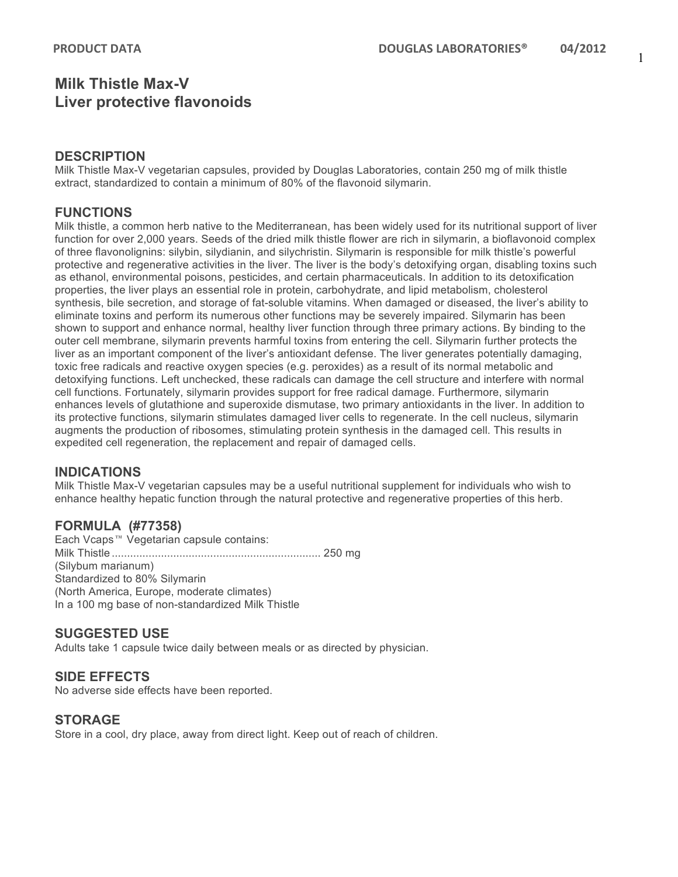## **Milk Thistle Max-V Liver protective flavonoids**

### **DESCRIPTION**

Milk Thistle Max-V vegetarian capsules, provided by Douglas Laboratories, contain 250 mg of milk thistle extract, standardized to contain a minimum of 80% of the flavonoid silymarin.

## **FUNCTIONS**

Milk thistle, a common herb native to the Mediterranean, has been widely used for its nutritional support of liver function for over 2,000 years. Seeds of the dried milk thistle flower are rich in silymarin, a bioflavonoid complex of three flavonolignins: silybin, silydianin, and silychristin. Silymarin is responsible for milk thistle's powerful protective and regenerative activities in the liver. The liver is the body's detoxifying organ, disabling toxins such as ethanol, environmental poisons, pesticides, and certain pharmaceuticals. In addition to its detoxification properties, the liver plays an essential role in protein, carbohydrate, and lipid metabolism, cholesterol synthesis, bile secretion, and storage of fat-soluble vitamins. When damaged or diseased, the liver's ability to eliminate toxins and perform its numerous other functions may be severely impaired. Silymarin has been shown to support and enhance normal, healthy liver function through three primary actions. By binding to the outer cell membrane, silymarin prevents harmful toxins from entering the cell. Silymarin further protects the liver as an important component of the liver's antioxidant defense. The liver generates potentially damaging, toxic free radicals and reactive oxygen species (e.g. peroxides) as a result of its normal metabolic and detoxifying functions. Left unchecked, these radicals can damage the cell structure and interfere with normal cell functions. Fortunately, silymarin provides support for free radical damage. Furthermore, silymarin enhances levels of glutathione and superoxide dismutase, two primary antioxidants in the liver. In addition to its protective functions, silymarin stimulates damaged liver cells to regenerate. In the cell nucleus, silymarin augments the production of ribosomes, stimulating protein synthesis in the damaged cell. This results in expedited cell regeneration, the replacement and repair of damaged cells.

## **INDICATIONS**

Milk Thistle Max-V vegetarian capsules may be a useful nutritional supplement for individuals who wish to enhance healthy hepatic function through the natural protective and regenerative properties of this herb.

## **FORMULA (#77358)**

Each Vcaps™ Vegetarian capsule contains: Milk Thistle .................................................................... 250 mg (Silybum marianum) Standardized to 80% Silymarin (North America, Europe, moderate climates) In a 100 mg base of non-standardized Milk Thistle

#### **SUGGESTED USE**

Adults take 1 capsule twice daily between meals or as directed by physician.

#### **SIDE EFFECTS**

No adverse side effects have been reported.

#### **STORAGE**

Store in a cool, dry place, away from direct light. Keep out of reach of children.

1